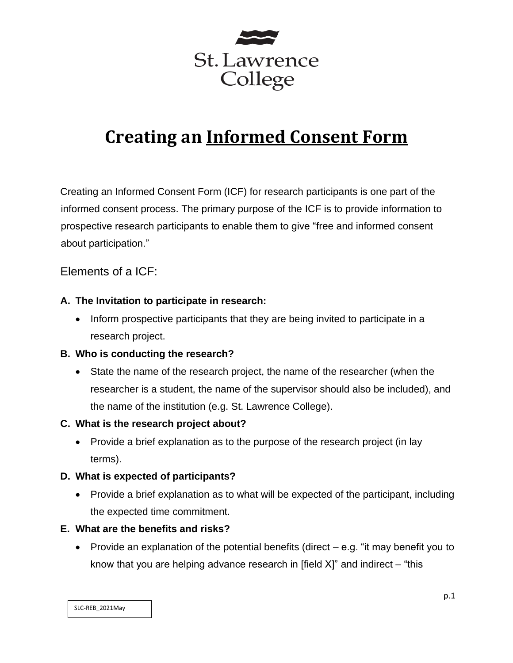

# **Creating an Informed Consent Form**

Creating an Informed Consent Form (ICF) for research participants is one part of the informed consent process. The primary purpose of the ICF is to provide information to prospective research participants to enable them to give "free and informed consent about participation."

# Elements of a ICF:

# **A. The Invitation to participate in research:**

• Inform prospective participants that they are being invited to participate in a research project.

## **B. Who is conducting the research?**

• State the name of the research project, the name of the researcher (when the researcher is a student, the name of the supervisor should also be included), and the name of the institution (e.g. St. Lawrence College).

## **C. What is the research project about?**

• Provide a brief explanation as to the purpose of the research project (in lay terms).

## **D. What is expected of participants?**

• Provide a brief explanation as to what will be expected of the participant, including the expected time commitment.

## **E. What are the benefits and risks?**

• Provide an explanation of the potential benefits (direct – e.g. "it may benefit you to know that you are helping advance research in [field  $X$ ]" and indirect  $-$  "this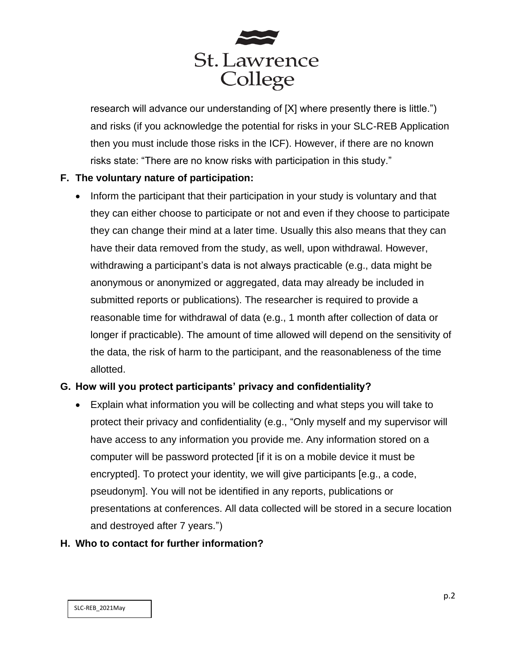

research will advance our understanding of [X] where presently there is little.") and risks (if you acknowledge the potential for risks in your SLC-REB Application then you must include those risks in the ICF). However, if there are no known risks state: "There are no know risks with participation in this study."

# **F. The voluntary nature of participation:**

• Inform the participant that their participation in your study is voluntary and that they can either choose to participate or not and even if they choose to participate they can change their mind at a later time. Usually this also means that they can have their data removed from the study, as well, upon withdrawal. However, withdrawing a participant's data is not always practicable (e.g., data might be anonymous or anonymized or aggregated, data may already be included in submitted reports or publications). The researcher is required to provide a reasonable time for withdrawal of data (e.g., 1 month after collection of data or longer if practicable). The amount of time allowed will depend on the sensitivity of the data, the risk of harm to the participant, and the reasonableness of the time allotted.

## **G. How will you protect participants' privacy and confidentiality?**

• Explain what information you will be collecting and what steps you will take to protect their privacy and confidentiality (e.g., "Only myself and my supervisor will have access to any information you provide me. Any information stored on a computer will be password protected [if it is on a mobile device it must be encrypted]. To protect your identity, we will give participants [e.g., a code, pseudonym]. You will not be identified in any reports, publications or presentations at conferences. All data collected will be stored in a secure location and destroyed after 7 years.")

#### **H. Who to contact for further information?**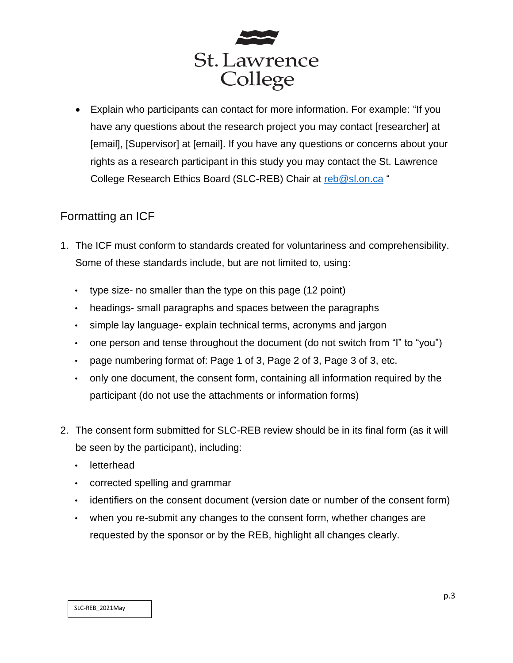

• Explain who participants can contact for more information. For example: "If you have any questions about the research project you may contact [researcher] at [email], [Supervisor] at [email]. If you have any questions or concerns about your rights as a research participant in this study you may contact the St. Lawrence College Research Ethics Board (SLC-REB) Chair at [reb@sl.on.ca](mailto:reb@sl.on.ca) "

# Formatting an ICF

- 1. The ICF must conform to standards created for voluntariness and comprehensibility. Some of these standards include, but are not limited to, using:
	- type size- no smaller than the type on this page (12 point)
	- headings- small paragraphs and spaces between the paragraphs
	- simple lay language- explain technical terms, acronyms and jargon
	- one person and tense throughout the document (do not switch from "I" to "you")
	- page numbering format of: Page 1 of 3, Page 2 of 3, Page 3 of 3, etc.
	- only one document, the consent form, containing all information required by the participant (do not use the attachments or information forms)
- 2. The consent form submitted for SLC-REB review should be in its final form (as it will be seen by the participant), including:
	- letterhead
	- corrected spelling and grammar
	- identifiers on the consent document (version date or number of the consent form)
	- when you re-submit any changes to the consent form, whether changes are requested by the sponsor or by the REB, highlight all changes clearly.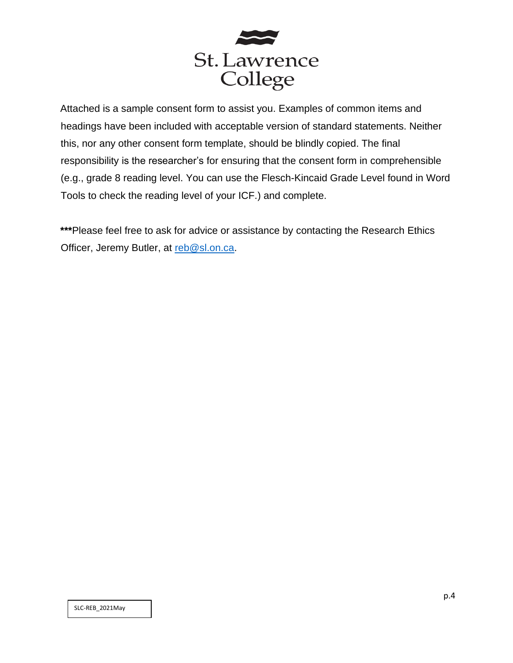

Attached is a sample consent form to assist you. Examples of common items and headings have been included with acceptable version of standard statements. Neither this, nor any other consent form template, should be blindly copied. The final responsibility is the researcher's for ensuring that the consent form in comprehensible (e.g., grade 8 reading level. You can use the Flesch-Kincaid Grade Level found in Word Tools to check the reading level of your ICF.) and complete.

**\*\*\***Please feel free to ask for advice or assistance by contacting the Research Ethics Officer, Jeremy Butler, at [reb@sl.on.ca.](mailto:reb@sl.on.ca)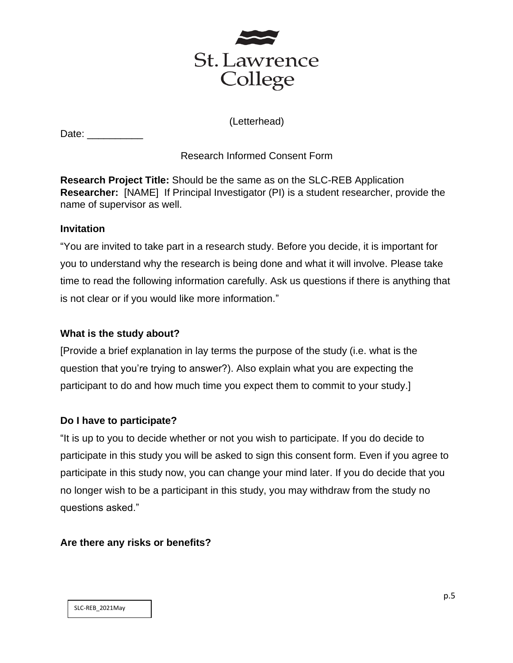

(Letterhead)

| Date: |  |
|-------|--|
|       |  |

# Research Informed Consent Form

**Research Project Title:** Should be the same as on the SLC-REB Application **Researcher:** [NAME] If Principal Investigator (PI) is a student researcher, provide the name of supervisor as well.

# **Invitation**

"You are invited to take part in a research study. Before you decide, it is important for you to understand why the research is being done and what it will involve. Please take time to read the following information carefully. Ask us questions if there is anything that is not clear or if you would like more information."

# **What is the study about?**

[Provide a brief explanation in lay terms the purpose of the study (i.e. what is the question that you're trying to answer?). Also explain what you are expecting the participant to do and how much time you expect them to commit to your study.]

# **Do I have to participate?**

"It is up to you to decide whether or not you wish to participate. If you do decide to participate in this study you will be asked to sign this consent form. Even if you agree to participate in this study now, you can change your mind later. If you do decide that you no longer wish to be a participant in this study, you may withdraw from the study no questions asked."

# **Are there any risks or benefits?**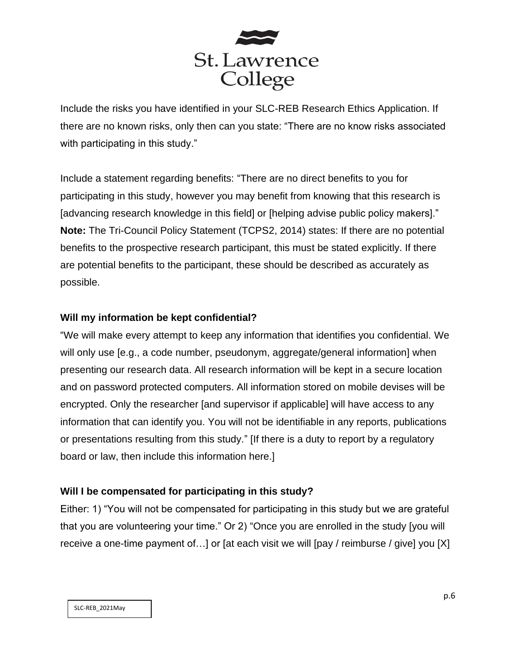

Include the risks you have identified in your SLC-REB Research Ethics Application. If there are no known risks, only then can you state: "There are no know risks associated with participating in this study."

Include a statement regarding benefits: "There are no direct benefits to you for participating in this study, however you may benefit from knowing that this research is [advancing research knowledge in this field] or [helping advise public policy makers]." **Note:** The Tri-Council Policy Statement (TCPS2, 2014) states: If there are no potential benefits to the prospective research participant, this must be stated explicitly. If there are potential benefits to the participant, these should be described as accurately as possible.

# **Will my information be kept confidential?**

"We will make every attempt to keep any information that identifies you confidential. We will only use [e.g., a code number, pseudonym, aggregate/general information] when presenting our research data. All research information will be kept in a secure location and on password protected computers. All information stored on mobile devises will be encrypted. Only the researcher [and supervisor if applicable] will have access to any information that can identify you. You will not be identifiable in any reports, publications or presentations resulting from this study." [If there is a duty to report by a regulatory board or law, then include this information here.]

## **Will I be compensated for participating in this study?**

Either: 1) "You will not be compensated for participating in this study but we are grateful that you are volunteering your time." Or 2) "Once you are enrolled in the study [you will receive a one-time payment of…] or [at each visit we will [pay / reimburse / give] you [X]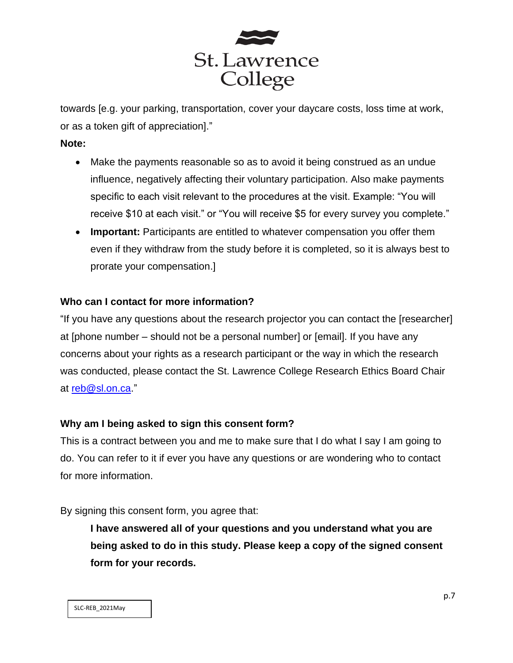

towards [e.g. your parking, transportation, cover your daycare costs, loss time at work, or as a token gift of appreciation]."

#### **Note:**

- Make the payments reasonable so as to avoid it being construed as an undue influence, negatively affecting their voluntary participation. Also make payments specific to each visit relevant to the procedures at the visit. Example: "You will receive \$10 at each visit." or "You will receive \$5 for every survey you complete."
- **Important:** Participants are entitled to whatever compensation you offer them even if they withdraw from the study before it is completed, so it is always best to prorate your compensation.]

## **Who can I contact for more information?**

"If you have any questions about the research projector you can contact the [researcher] at [phone number – should not be a personal number] or [email]. If you have any concerns about your rights as a research participant or the way in which the research was conducted, please contact the St. Lawrence College Research Ethics Board Chair at [reb@sl.on.ca.](mailto:reb@sl.on.ca)"

## **Why am I being asked to sign this consent form?**

This is a contract between you and me to make sure that I do what I say I am going to do. You can refer to it if ever you have any questions or are wondering who to contact for more information.

By signing this consent form, you agree that:

**I have answered all of your questions and you understand what you are being asked to do in this study. Please keep a copy of the signed consent form for your records.**